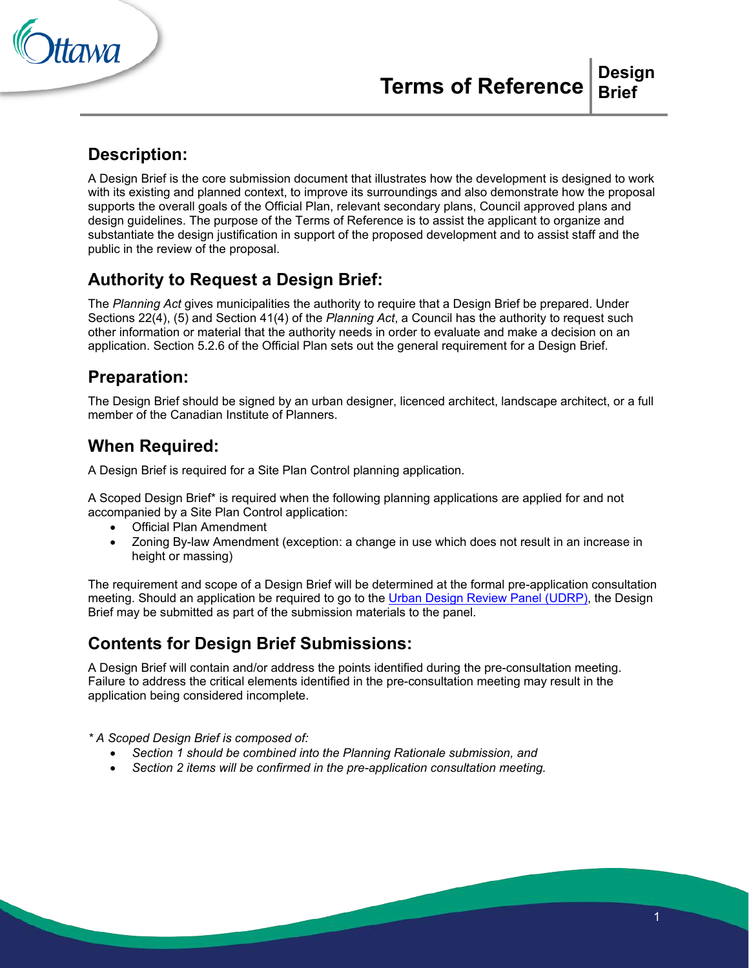

#### **Description:**

A Design Brief is the core submission document that illustrates how the development is designed to work with its existing and planned context, to improve its surroundings and also demonstrate how the proposal supports the overall goals of the Official Plan, relevant secondary plans, Council approved plans and design guidelines. The purpose of the Terms of Reference is to assist the applicant to organize and substantiate the design justification in support of the proposed development and to assist staff and the public in the review of the proposal.

### **Authority to Request a Design Brief:**

The *Planning Act* gives municipalities the authority to require that a Design Brief be prepared. Under Sections 22(4), (5) and Section 41(4) of the *Planning Act*, a Council has the authority to request such other information or material that the authority needs in order to evaluate and make a decision on an application. Section 5.2.6 of the Official Plan sets out the general requirement for a Design Brief.

#### **Preparation:**

The Design Brief should be signed by an urban designer, licenced architect, landscape architect, or a full member of the Canadian Institute of Planners.

#### **When Required:**

A Design Brief is required for a Site Plan Control planning application.

A Scoped Design Brief\* is required when the following planning applications are applied for and not accompanied by a Site Plan Control application:

- Official Plan Amendment
- Zoning By-law Amendment (exception: a change in use which does not result in an increase in height or massing)

The requirement and scope of a Design Brief will be determined at the formal pre-application consultation meeting. Should an application be required to go to the [Urban Design Review Panel \(UDRP\),](http://ottawa.ca/en/development-application-review-process-0/urban-design-review-panel) the Design Brief may be submitted as part of the submission materials to the panel.

# **Contents for Design Brief Submissions:**

A Design Brief will contain and/or address the points identified during the pre-consultation meeting. Failure to address the critical elements identified in the pre-consultation meeting may result in the application being considered incomplete.

*\* A Scoped Design Brief is composed of:*

- *Section 1 should be combined into the Planning Rationale submission, and*
- *Section 2 items will be confirmed in the pre-application consultation meeting.*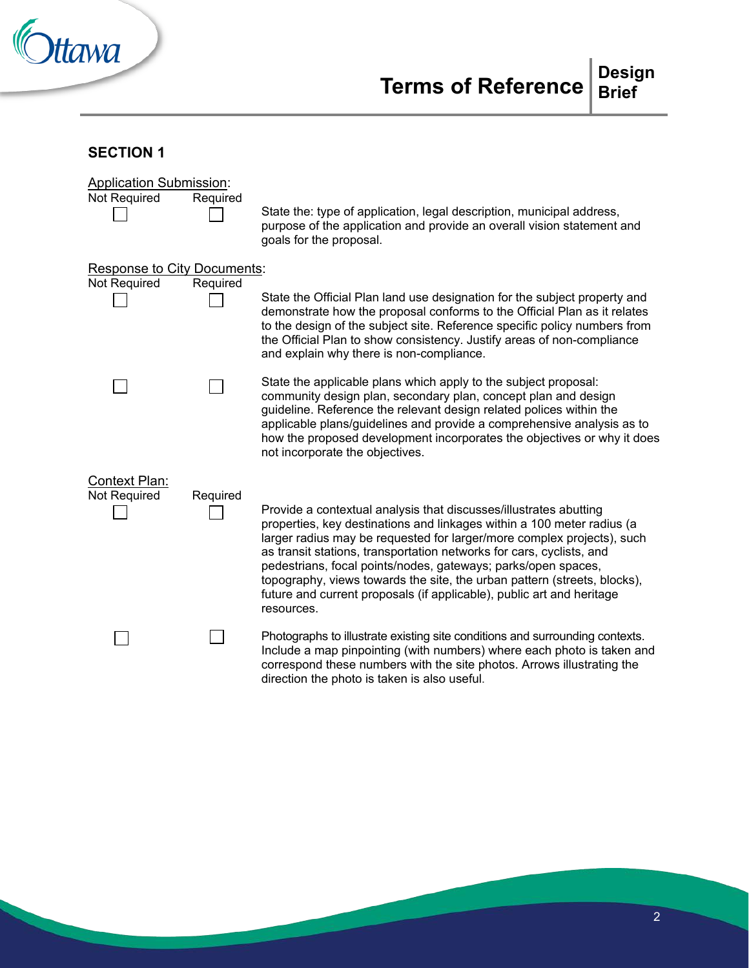

### **SECTION 1**

| <b>Application Submission:</b><br>Not Required | Required | State the: type of application, legal description, municipal address,<br>purpose of the application and provide an overall vision statement and<br>goals for the proposal.                                                                                                                                                                                                                                                                                                                                                        |
|------------------------------------------------|----------|-----------------------------------------------------------------------------------------------------------------------------------------------------------------------------------------------------------------------------------------------------------------------------------------------------------------------------------------------------------------------------------------------------------------------------------------------------------------------------------------------------------------------------------|
| <b>Response to City Documents:</b>             |          |                                                                                                                                                                                                                                                                                                                                                                                                                                                                                                                                   |
| Not Required                                   | Required | State the Official Plan land use designation for the subject property and                                                                                                                                                                                                                                                                                                                                                                                                                                                         |
|                                                |          | demonstrate how the proposal conforms to the Official Plan as it relates<br>to the design of the subject site. Reference specific policy numbers from<br>the Official Plan to show consistency. Justify areas of non-compliance<br>and explain why there is non-compliance.                                                                                                                                                                                                                                                       |
|                                                |          | State the applicable plans which apply to the subject proposal:<br>community design plan, secondary plan, concept plan and design<br>guideline. Reference the relevant design related polices within the<br>applicable plans/guidelines and provide a comprehensive analysis as to<br>how the proposed development incorporates the objectives or why it does<br>not incorporate the objectives.                                                                                                                                  |
| Context Plan:                                  |          |                                                                                                                                                                                                                                                                                                                                                                                                                                                                                                                                   |
| <b>Not Required</b>                            | Required | Provide a contextual analysis that discusses/illustrates abutting<br>properties, key destinations and linkages within a 100 meter radius (a<br>larger radius may be requested for larger/more complex projects), such<br>as transit stations, transportation networks for cars, cyclists, and<br>pedestrians, focal points/nodes, gateways; parks/open spaces,<br>topography, views towards the site, the urban pattern (streets, blocks),<br>future and current proposals (if applicable), public art and heritage<br>resources. |
|                                                |          | Photographs to illustrate existing site conditions and surrounding contexts.<br>Include a map pinpointing (with numbers) where each photo is taken and<br>correspond these numbers with the site photos. Arrows illustrating the<br>direction the photo is taken is also useful.                                                                                                                                                                                                                                                  |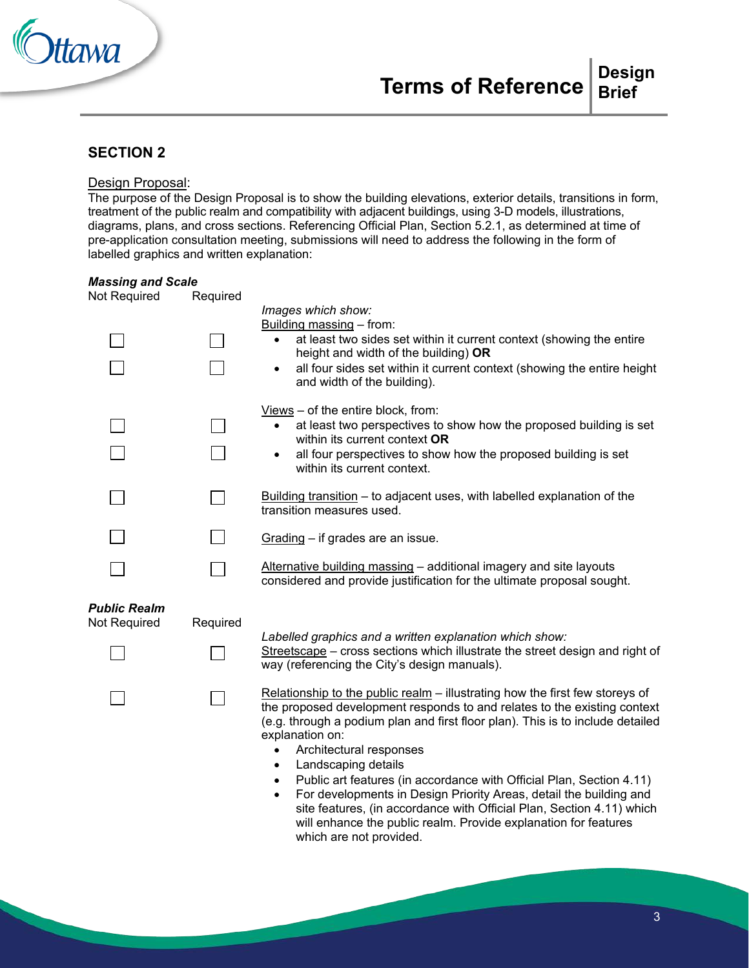

#### **SECTION 2**

#### Design Proposal:

The purpose of the Design Proposal is to show the building elevations, exterior details, transitions in form, treatment of the public realm and compatibility with adjacent buildings, using 3-D models, illustrations, diagrams, plans, and cross sections. Referencing Official Plan, Section 5.2.1, as determined at time of pre-application consultation meeting, submissions will need to address the following in the form of labelled graphics and written explanation:

| <b>Massing and Scale</b> |                                                                                                                                                                                                                                                                                                                                                                                                                                                                                                                                                                                                                                                                                          |
|--------------------------|------------------------------------------------------------------------------------------------------------------------------------------------------------------------------------------------------------------------------------------------------------------------------------------------------------------------------------------------------------------------------------------------------------------------------------------------------------------------------------------------------------------------------------------------------------------------------------------------------------------------------------------------------------------------------------------|
|                          | Images which show:<br>Building massing - from:<br>at least two sides set within it current context (showing the entire<br>$\bullet$<br>height and width of the building) OR<br>all four sides set within it current context (showing the entire height<br>$\bullet$<br>and width of the building).                                                                                                                                                                                                                                                                                                                                                                                       |
|                          | $Views$ – of the entire block, from:<br>at least two perspectives to show how the proposed building is set<br>within its current context OR<br>all four perspectives to show how the proposed building is set<br>$\bullet$<br>within its current context.                                                                                                                                                                                                                                                                                                                                                                                                                                |
|                          | Building transition - to adjacent uses, with labelled explanation of the<br>transition measures used.                                                                                                                                                                                                                                                                                                                                                                                                                                                                                                                                                                                    |
|                          | Grading - if grades are an issue.                                                                                                                                                                                                                                                                                                                                                                                                                                                                                                                                                                                                                                                        |
|                          | Alternative building massing - additional imagery and site layouts<br>considered and provide justification for the ultimate proposal sought.                                                                                                                                                                                                                                                                                                                                                                                                                                                                                                                                             |
| Required                 |                                                                                                                                                                                                                                                                                                                                                                                                                                                                                                                                                                                                                                                                                          |
|                          | Labelled graphics and a written explanation which show:<br>Streetscape - cross sections which illustrate the street design and right of<br>way (referencing the City's design manuals).                                                                                                                                                                                                                                                                                                                                                                                                                                                                                                  |
|                          | Relationship to the public realm - illustrating how the first few storeys of<br>the proposed development responds to and relates to the existing context<br>(e.g. through a podium plan and first floor plan). This is to include detailed<br>explanation on:<br>Architectural responses<br>$\bullet$<br>Landscaping details<br>$\bullet$<br>Public art features (in accordance with Official Plan, Section 4.11)<br>$\bullet$<br>For developments in Design Priority Areas, detail the building and<br>$\bullet$<br>site features, (in accordance with Official Plan, Section 4.11) which<br>will enhance the public realm. Provide explanation for features<br>which are not provided. |
|                          | Required                                                                                                                                                                                                                                                                                                                                                                                                                                                                                                                                                                                                                                                                                 |